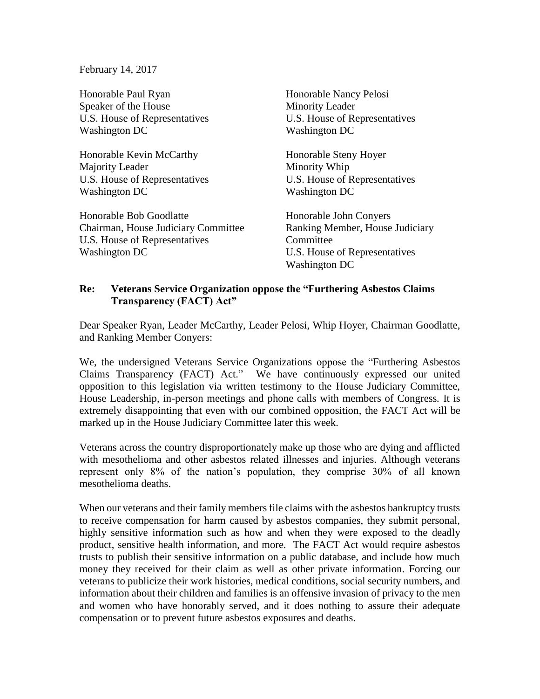February 14, 2017

Honorable Paul Ryan Speaker of the House U.S. House of Representatives Washington DC

Honorable Kevin McCarthy Majority Leader U.S. House of Representatives Washington DC

Honorable Bob Goodlatte Chairman, House Judiciary Committee U.S. House of Representatives Washington DC

Honorable Nancy Pelosi Minority Leader U.S. House of Representatives Washington DC

Honorable Steny Hoyer Minority Whip U.S. House of Representatives Washington DC

Honorable John Conyers Ranking Member, House Judiciary **Committee** U.S. House of Representatives Washington DC

## **Re: Veterans Service Organization oppose the "Furthering Asbestos Claims Transparency (FACT) Act"**

Dear Speaker Ryan, Leader McCarthy, Leader Pelosi, Whip Hoyer, Chairman Goodlatte, and Ranking Member Conyers:

We, the undersigned Veterans Service Organizations oppose the "Furthering Asbestos Claims Transparency (FACT) Act." We have continuously expressed our united opposition to this legislation via written testimony to the House Judiciary Committee, House Leadership, in-person meetings and phone calls with members of Congress*.* It is extremely disappointing that even with our combined opposition, the FACT Act will be marked up in the House Judiciary Committee later this week.

Veterans across the country disproportionately make up those who are dying and afflicted with mesothelioma and other asbestos related illnesses and injuries. Although veterans represent only 8% of the nation's population, they comprise 30% of all known mesothelioma deaths.

When our veterans and their family members file claims with the asbestos bankruptcy trusts to receive compensation for harm caused by asbestos companies, they submit personal, highly sensitive information such as how and when they were exposed to the deadly product, sensitive health information, and more. The FACT Act would require asbestos trusts to publish their sensitive information on a public database, and include how much money they received for their claim as well as other private information. Forcing our veterans to publicize their work histories, medical conditions, social security numbers, and information about their children and families is an offensive invasion of privacy to the men and women who have honorably served, and it does nothing to assure their adequate compensation or to prevent future asbestos exposures and deaths.